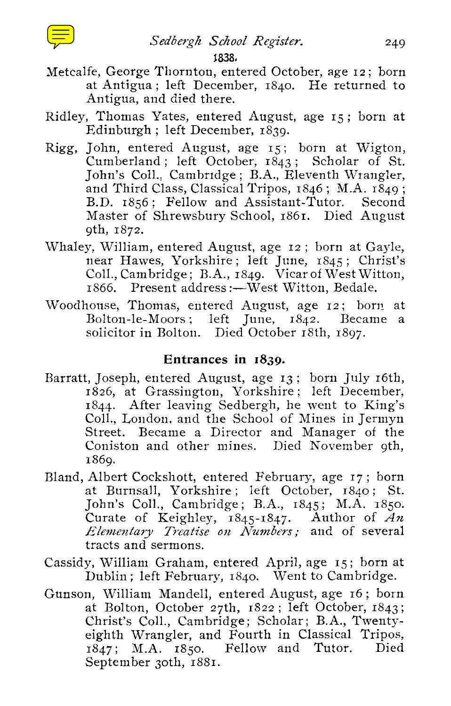## 1838,

- *Sedbergh School Register.*<br>249<br>**1838,**<br>Thornton, entered October, age 12; born<br>1; left December, 1840. He returned to Metcalfe, George Thornton, entered October, age 12; born at Antigua ; left December, 1840. He returned to Antigua, and died there.
- Ridley, Thomas Yates, entered August, age 15 ; born at Edinburgh ; left December, 1839.
- Rigg, John, entered August, age 15 ; born at Wigton, Cumberland ; left October, 1843 ; Scholar of St. John's Coll.. Cambridge ; B.A., Eleventh Wrangler, and Third Class, Classical Tripos,  $1846$ ; M.A.  $1849$ ; B.D. 1856 ; Fellow and Assistant-Tutor. Second Master of Shrewsbury School, 1861. Died August 9th, 1872.
- Whaley. William, entered August, age 12 ; born at Gayle, near Hawes, Yorkshire ; left June, 1845 ; Christ's Coll., Cambridge; B.A., 1849. Vicar of West Witton. 1866. Present address :—West Witton, Bedale.
- Woodhouse, Thomas, entered August, age 12; born at Bolton-le-Moors ; left June, 1842. Became a solicitor in Bolton. Died October 18th, 1897.

## **Entrances in 1839.**

- Barratt, Joseph, entered August, age 13 ; born July 16th, 1826, at Grassington, Yorkshire ; left December, <sup>1844</sup> . After leaving Sedbergh, he went to King's Coll., London, and the School of Mines in Jermyn Street. Became a Director and Manager of the Coniston and other mines. Died November 9th, 1869.
- Bland, Albert Cockshott, entered February, age 17 ; born at Burnsall, Yorkshire ; left October, 1840 ; St. John's Coll., Cambridge ; B.A., 1845; M.A. 1850. Curate of Keighley, 1845-1847. Author of *An Elementary Treatise on Numbers ;* and of several tracts and sermons.
- Cassidy, William Graham, entered April, age 15; born at Dublin ; left February, 1840. Went to Cambridge.
- Gunson, William Mandell, entered August, age 16 ; born at Bolton, October 27th, 1822; left October, 1843; Christ's Coll., Cambridge; Scholar; B.A., Twentyeighth Wrangler, and Fourth in Classical Tripos, 1847 ; M.A. 1850. Fellow and Tutor. Died September 30th, 1881.